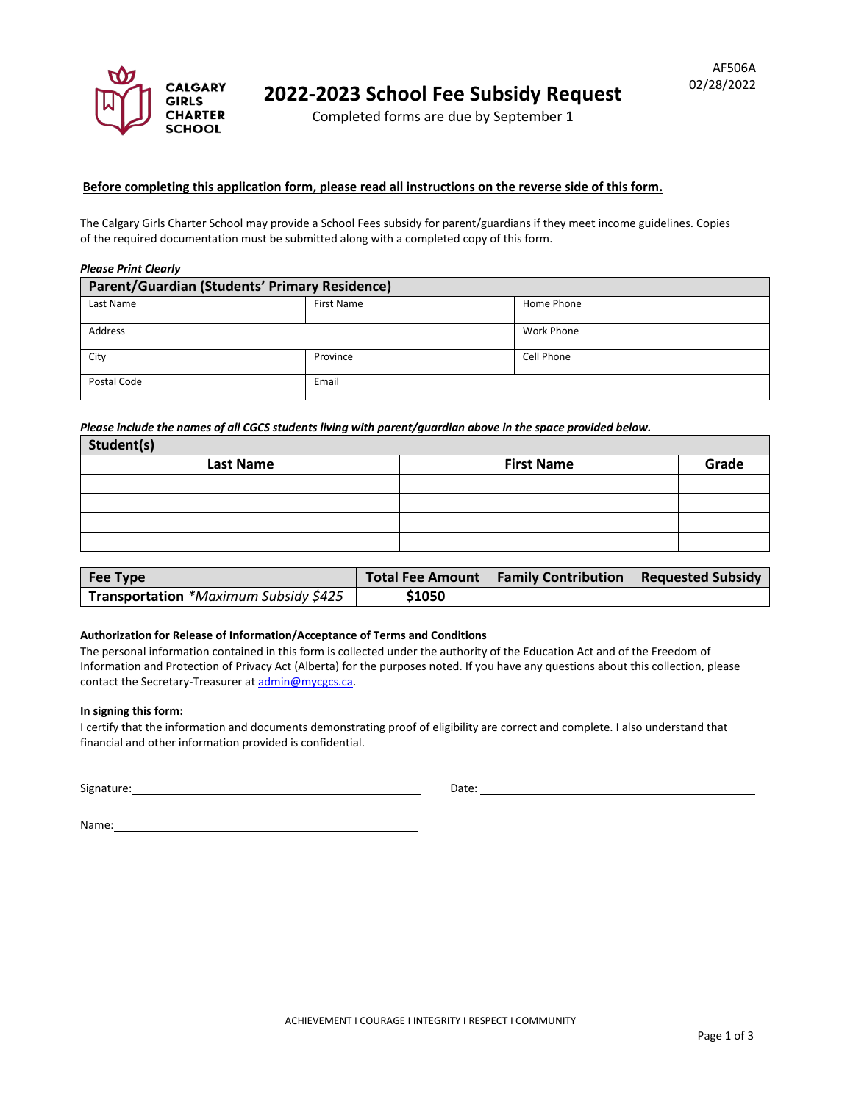

Completed forms are due by September 1

## **Before completing this application form, please read all instructions on the reverse side of this form.**

The Calgary Girls Charter School may provide a School Fees subsidy for parent/guardians if they meet income guidelines. Copies of the required documentation must be submitted along with a completed copy of this form.

### *Please Print Clearly*

| Parent/Guardian (Students' Primary Residence) |                   |                   |  |  |
|-----------------------------------------------|-------------------|-------------------|--|--|
| Last Name                                     | <b>First Name</b> | Home Phone        |  |  |
| Address                                       |                   | <b>Work Phone</b> |  |  |
| City                                          | Province          | Cell Phone        |  |  |
| Postal Code                                   | Email             |                   |  |  |

*Please include the names of all CGCS students living with parent/guardian above in the space provided below.*

| Student(s)       |                   |       |
|------------------|-------------------|-------|
| <b>Last Name</b> | <b>First Name</b> | Grade |
|                  |                   |       |
|                  |                   |       |
|                  |                   |       |
|                  |                   |       |

| Fee Type                              |        | Total Fee Amount   Family Contribution   Requested Subsidy |  |
|---------------------------------------|--------|------------------------------------------------------------|--|
| Transportation *Maximum Subsidy \$425 | \$1050 |                                                            |  |

### **Authorization for Release of Information/Acceptance of Terms and Conditions**

The personal information contained in this form is collected under the authority of the Education Act and of the Freedom of Information and Protection of Privacy Act (Alberta) for the purposes noted. If you have any questions about this collection, please contact the Secretary-Treasurer a[t admin@mycgcs.ca.](mailto:admin@mycgcs.ca)

#### **In signing this form:**

I certify that the information and documents demonstrating proof of eligibility are correct and complete. I also understand that financial and other information provided is confidential.

| Signature: | Date: |
|------------|-------|
|            |       |

| Name: |  |  |
|-------|--|--|
|       |  |  |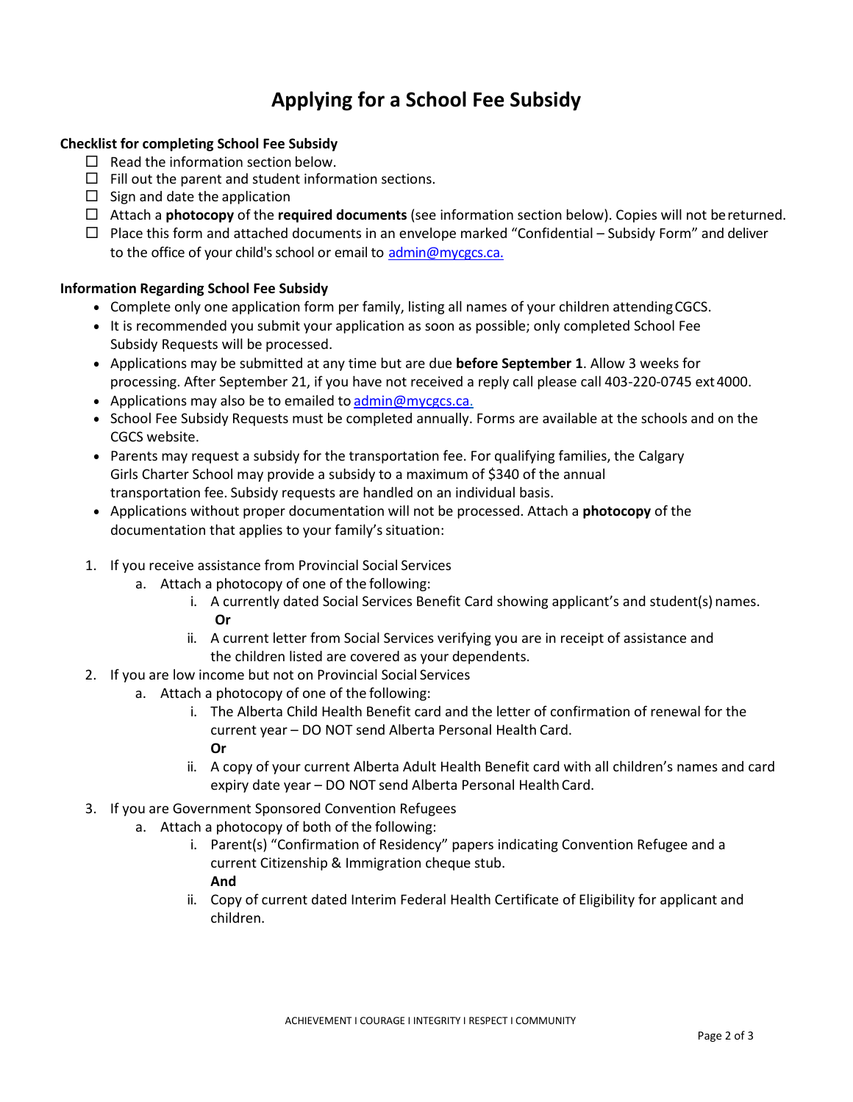# **Applying for a School Fee Subsidy**

# **Checklist for completing School Fee Subsidy**

- $\Box$  Read the information section below.
- $\Box$  Fill out the parent and student information sections.
- $\Box$  Sign and date the application
- Attach a **photocopy** of the **required documents** (see information section below). Copies will not bereturned.
- $\Box$  Place this form and attached documents in an envelope marked "Confidential Subsidy Form" and deliver to the office of your child's school or email to [admin@mycgcs.ca.](mailto:admin@mycgcs.ca.)

## **Information Regarding School Fee Subsidy**

- Complete only one application form per family, listing all names of your children attending CGCS.
- It is recommended you submit your application as soon as possible; only completed School Fee Subsidy Requests will be processed.
- Applications may be submitted at any time but are due **before September 1**. Allow 3 weeks for processing. After September 21, if you have not received a reply call please call 403-220-0745 ext 4000.
- Applications may also be to emailed to [admin@mycgcs.ca](mailto:admin@mycgcs.ca)[.](mailto:wendy.juergens@calgarygirlsschool.com)
- School Fee Subsidy Requests must be completed annually. Forms are available at the schools and on the CGCS website.
- Parents may request a subsidy for the transportation fee. For qualifying families, the Calgary Girls Charter School may provide a subsidy to a maximum of \$340 of the annual transportation fee. Subsidy requests are handled on an individual basis.
- Applications without proper documentation will not be processed. Attach a **photocopy** of the documentation that applies to your family's situation:
- 1. If you receive assistance from Provincial Social Services
	- a. Attach a photocopy of one of the following:
		- i. A currently dated Social Services Benefit Card showing applicant's and student(s) names. **Or**
		- ii. A current letter from Social Services verifying you are in receipt of assistance and the children listed are covered as your dependents.
- 2. If you are low income but not on Provincial Social Services
	- a. Attach a photocopy of one of the following:
		- i. The Alberta Child Health Benefit card and the letter of confirmation of renewal for the current year – DO NOT send Alberta Personal Health Card. **Or**
		- ii. A copy of your current Alberta Adult Health Benefit card with all children's names and card expiry date year – DO NOT send Alberta Personal HealthCard.
- 3. If you are Government Sponsored Convention Refugees
	- a. Attach a photocopy of both of the following:
		- i. Parent(s) "Confirmation of Residency" papers indicating Convention Refugee and a current Citizenship & Immigration cheque stub. **And**
		- ii. Copy of current dated Interim Federal Health Certificate of Eligibility for applicant and children.